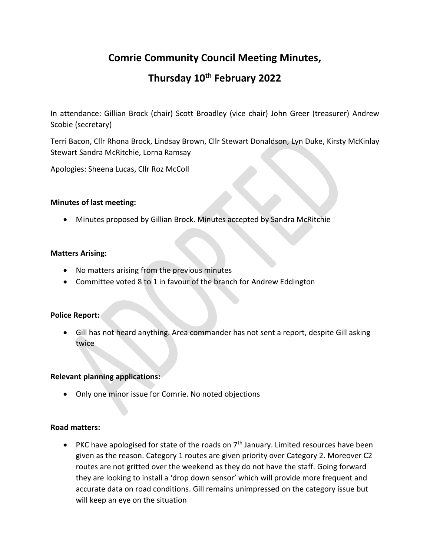# **Comrie Community Council Meeting Minutes,**

# **Thursday 10th February 2022**

In attendance: Gillian Brock (chair) Scott Broadley (vice chair) John Greer (treasurer) Andrew Scobie (secretary)

Terri Bacon, Cllr Rhona Brock, Lindsay Brown, Cllr Stewart Donaldson, Lyn Duke, Kirsty McKinlay Stewart Sandra McRitchie, Lorna Ramsay

Apologies: Sheena Lucas, Cllr Roz McColl

#### **Minutes of last meeting:**

• Minutes proposed by Gillian Brock. Minutes accepted by Sandra McRitchie

## **Matters Arising:**

- No matters arising from the previous minutes
- Committee voted 8 to 1 in favour of the branch for Andrew Eddington

#### **Police Report:**

• Gill has not heard anything. Area commander has not sent a report, despite Gill asking twice

#### **Relevant planning applications:**

• Only one minor issue for Comrie. No noted objections

#### **Road matters:**

• PKC have apologised for state of the roads on  $7<sup>th</sup>$  January. Limited resources have been given as the reason. Category 1 routes are given priority over Category 2. Moreover C2 routes are not gritted over the weekend as they do not have the staff. Going forward they are looking to install a 'drop down sensor' which will provide more frequent and accurate data on road conditions. Gill remains unimpressed on the category issue but will keep an eye on the situation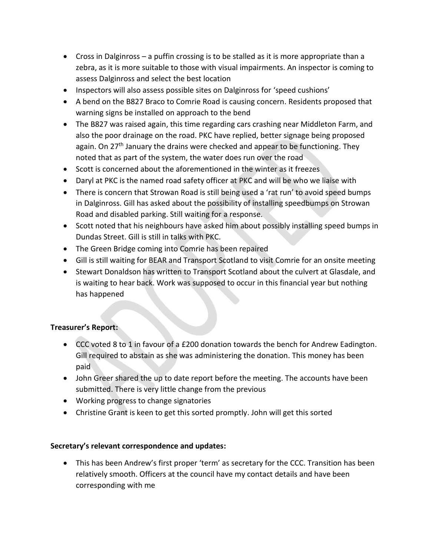- Cross in Dalginross a puffin crossing is to be stalled as it is more appropriate than a zebra, as it is more suitable to those with visual impairments. An inspector is coming to assess Dalginross and select the best location
- Inspectors will also assess possible sites on Dalginross for 'speed cushions'
- A bend on the B827 Braco to Comrie Road is causing concern. Residents proposed that warning signs be installed on approach to the bend
- The B827 was raised again, this time regarding cars crashing near Middleton Farm, and also the poor drainage on the road. PKC have replied, better signage being proposed again. On 27<sup>th</sup> January the drains were checked and appear to be functioning. They noted that as part of the system, the water does run over the road
- Scott is concerned about the aforementioned in the winter as it freezes
- Daryl at PKC is the named road safety officer at PKC and will be who we liaise with
- There is concern that Strowan Road is still being used a 'rat run' to avoid speed bumps in Dalginross. Gill has asked about the possibility of installing speedbumps on Strowan Road and disabled parking. Still waiting for a response.
- Scott noted that his neighbours have asked him about possibly installing speed bumps in Dundas Street. Gill is still in talks with PKC.
- The Green Bridge coming into Comrie has been repaired
- Gill is still waiting for BEAR and Transport Scotland to visit Comrie for an onsite meeting
- Stewart Donaldson has written to Transport Scotland about the culvert at Glasdale, and is waiting to hear back. Work was supposed to occur in this financial year but nothing has happened

# **Treasurer's Report:**

- CCC voted 8 to 1 in favour of a £200 donation towards the bench for Andrew Eadington. Gill required to abstain as she was administering the donation. This money has been paid
- John Greer shared the up to date report before the meeting. The accounts have been submitted. There is very little change from the previous
- Working progress to change signatories
- Christine Grant is keen to get this sorted promptly. John will get this sorted

#### **Secretary's relevant correspondence and updates:**

• This has been Andrew's first proper 'term' as secretary for the CCC. Transition has been relatively smooth. Officers at the council have my contact details and have been corresponding with me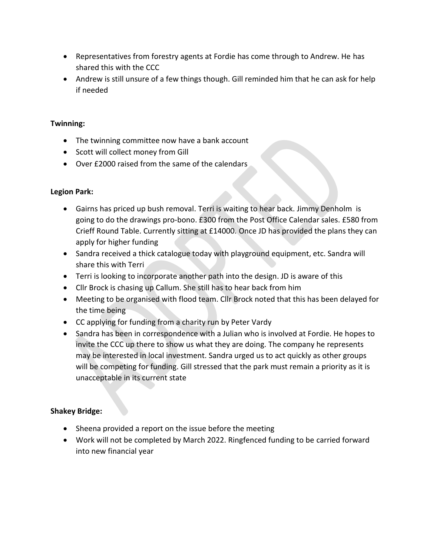- Representatives from forestry agents at Fordie has come through to Andrew. He has shared this with the CCC
- Andrew is still unsure of a few things though. Gill reminded him that he can ask for help if needed

# **Twinning:**

- The twinning committee now have a bank account
- Scott will collect money from Gill
- Over £2000 raised from the same of the calendars

# **Legion Park:**

- Gairns has priced up bush removal. Terri is waiting to hear back. Jimmy Denholm is going to do the drawings pro-bono. £300 from the Post Office Calendar sales. £580 from Crieff Round Table. Currently sitting at £14000. Once JD has provided the plans they can apply for higher funding
- Sandra received a thick catalogue today with playground equipment, etc. Sandra will share this with Terri
- Terri is looking to incorporate another path into the design. JD is aware of this
- Cllr Brock is chasing up Callum. She still has to hear back from him
- Meeting to be organised with flood team. Cllr Brock noted that this has been delayed for the time being
- CC applying for funding from a charity run by Peter Vardy
- Sandra has been in correspondence with a Julian who is involved at Fordie. He hopes to invite the CCC up there to show us what they are doing. The company he represents may be interested in local investment. Sandra urged us to act quickly as other groups will be competing for funding. Gill stressed that the park must remain a priority as it is unacceptable in its current state

# **Shakey Bridge:**

- Sheena provided a report on the issue before the meeting
- Work will not be completed by March 2022. Ringfenced funding to be carried forward into new financial year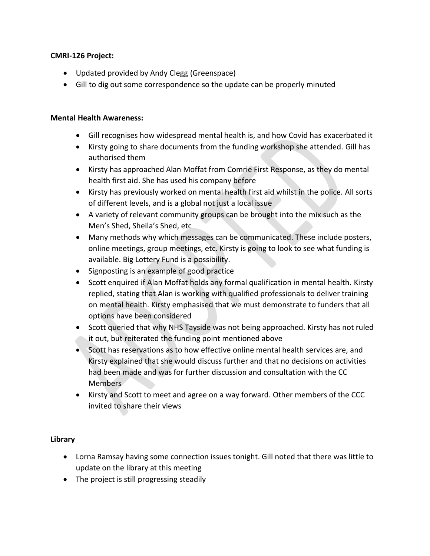## **CMRI-126 Project:**

- Updated provided by Andy Clegg (Greenspace)
- Gill to dig out some correspondence so the update can be properly minuted

### **Mental Health Awareness:**

- Gill recognises how widespread mental health is, and how Covid has exacerbated it
- Kirsty going to share documents from the funding workshop she attended. Gill has authorised them
- Kirsty has approached Alan Moffat from Comrie First Response, as they do mental health first aid. She has used his company before
- Kirsty has previously worked on mental health first aid whilst in the police. All sorts of different levels, and is a global not just a local issue
- A variety of relevant community groups can be brought into the mix such as the Men's Shed, Sheila's Shed, etc
- Many methods why which messages can be communicated. These include posters, online meetings, group meetings, etc. Kirsty is going to look to see what funding is available. Big Lottery Fund is a possibility.
- Signposting is an example of good practice
- Scott enquired if Alan Moffat holds any formal qualification in mental health. Kirsty replied, stating that Alan is working with qualified professionals to deliver training on mental health. Kirsty emphasised that we must demonstrate to funders that all options have been considered
- Scott queried that why NHS Tayside was not being approached. Kirsty has not ruled it out, but reiterated the funding point mentioned above
- Scott has reservations as to how effective online mental health services are, and Kirsty explained that she would discuss further and that no decisions on activities had been made and was for further discussion and consultation with the CC Members
- Kirsty and Scott to meet and agree on a way forward. Other members of the CCC invited to share their views

# **Library**

- Lorna Ramsay having some connection issues tonight. Gill noted that there was little to update on the library at this meeting
- The project is still progressing steadily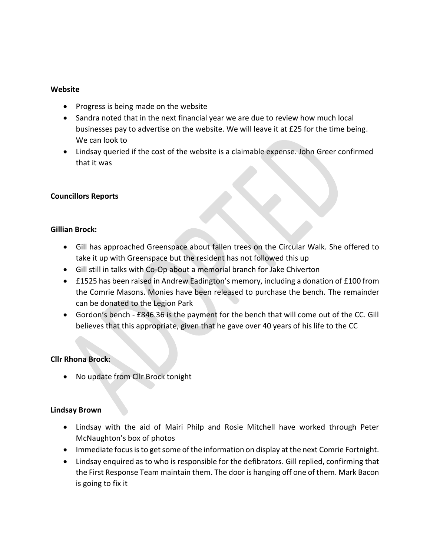#### **Website**

- Progress is being made on the website
- Sandra noted that in the next financial year we are due to review how much local businesses pay to advertise on the website. We will leave it at £25 for the time being. We can look to
- Lindsay queried if the cost of the website is a claimable expense. John Greer confirmed that it was

#### **Councillors Reports**

#### **Gillian Brock:**

- Gill has approached Greenspace about fallen trees on the Circular Walk. She offered to take it up with Greenspace but the resident has not followed this up
- Gill still in talks with Co-Op about a memorial branch for Jake Chiverton
- £1525 has been raised in Andrew Eadington's memory, including a donation of £100 from the Comrie Masons. Monies have been released to purchase the bench. The remainder can be donated to the Legion Park
- Gordon's bench £846.36 is the payment for the bench that will come out of the CC. Gill believes that this appropriate, given that he gave over 40 years of his life to the CC

#### **Cllr Rhona Brock:**

• No update from Cllr Brock tonight

#### **Lindsay Brown**

- Lindsay with the aid of Mairi Philp and Rosie Mitchell have worked through Peter McNaughton's box of photos
- Immediate focus is to get some of the information on display at the next Comrie Fortnight.
- Lindsay enquired as to who is responsible for the defibrators. Gill replied, confirming that the First Response Team maintain them. The door is hanging off one of them. Mark Bacon is going to fix it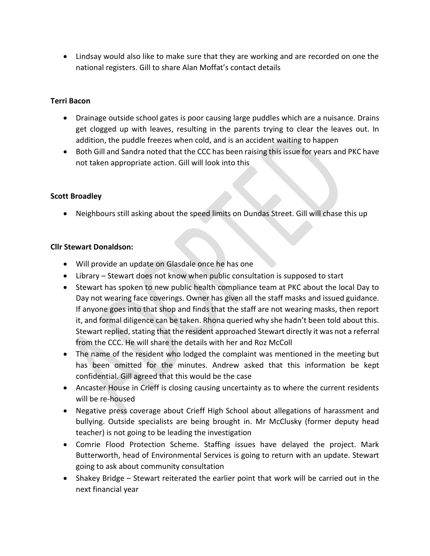• Lindsay would also like to make sure that they are working and are recorded on one the national registers. Gill to share Alan Moffat's contact details

## **Terri Bacon**

- Drainage outside school gates is poor causing large puddles which are a nuisance. Drains get clogged up with leaves, resulting in the parents trying to clear the leaves out. In addition, the puddle freezes when cold, and is an accident waiting to happen
- Both Gill and Sandra noted that the CCC has been raising this issue for years and PKC have not taken appropriate action. Gill will look into this

## **Scott Broadley**

• Neighbours still asking about the speed limits on Dundas Street. Gill will chase this up

#### **Cllr Stewart Donaldson:**

- Will provide an update on Glasdale once he has one
- Library Stewart does not know when public consultation is supposed to start
- Stewart has spoken to new public health compliance team at PKC about the local Day to Day not wearing face coverings. Owner has given all the staff masks and issued guidance. If anyone goes into that shop and finds that the staff are not wearing masks, then report it, and formal diligence can be taken. Rhona queried why she hadn't been told about this. Stewart replied, stating that the resident approached Stewart directly it was not a referral from the CCC. He will share the details with her and Roz McColl
- The name of the resident who lodged the complaint was mentioned in the meeting but has been omitted for the minutes. Andrew asked that this information be kept confidential. Gill agreed that this would be the case
- Ancaster House in Crieff is closing causing uncertainty as to where the current residents will be re-housed
- Negative press coverage about Crieff High School about allegations of harassment and bullying. Outside specialists are being brought in. Mr McClusky (former deputy head teacher) is not going to be leading the investigation
- Comrie Flood Protection Scheme. Staffing issues have delayed the project. Mark Butterworth, head of Environmental Services is going to return with an update. Stewart going to ask about community consultation
- Shakey Bridge Stewart reiterated the earlier point that work will be carried out in the next financial year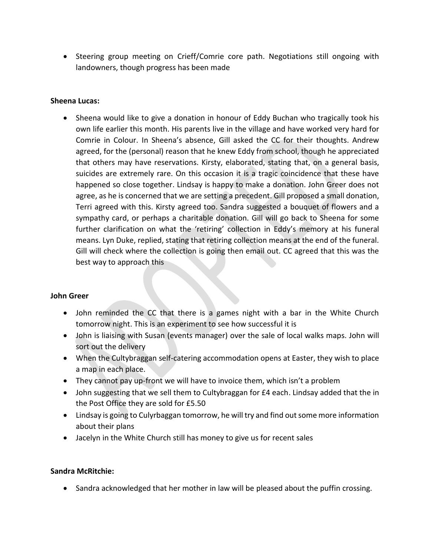• Steering group meeting on Crieff/Comrie core path. Negotiations still ongoing with landowners, though progress has been made

## **Sheena Lucas:**

• Sheena would like to give a donation in honour of Eddy Buchan who tragically took his own life earlier this month. His parents live in the village and have worked very hard for Comrie in Colour. In Sheena's absence, Gill asked the CC for their thoughts. Andrew agreed, for the (personal) reason that he knew Eddy from school, though he appreciated that others may have reservations. Kirsty, elaborated, stating that, on a general basis, suicides are extremely rare. On this occasion it is a tragic coincidence that these have happened so close together. Lindsay is happy to make a donation. John Greer does not agree, as he is concerned that we are setting a precedent. Gill proposed a small donation, Terri agreed with this. Kirsty agreed too. Sandra suggested a bouquet of flowers and a sympathy card, or perhaps a charitable donation. Gill will go back to Sheena for some further clarification on what the 'retiring' collection in Eddy's memory at his funeral means. Lyn Duke, replied, stating that retiring collection means at the end of the funeral. Gill will check where the collection is going then email out. CC agreed that this was the best way to approach this

# **John Greer**

- John reminded the CC that there is a games night with a bar in the White Church tomorrow night. This is an experiment to see how successful it is
- John is liaising with Susan (events manager) over the sale of local walks maps. John will sort out the delivery
- When the Cultybraggan self-catering accommodation opens at Easter, they wish to place a map in each place.
- They cannot pay up-front we will have to invoice them, which isn't a problem
- John suggesting that we sell them to Cultybraggan for £4 each. Lindsay added that the in the Post Office they are sold for £5.50
- Lindsay is going to Culyrbaggan tomorrow, he will try and find out some more information about their plans
- Jacelyn in the White Church still has money to give us for recent sales

# **Sandra McRitchie:**

• Sandra acknowledged that her mother in law will be pleased about the puffin crossing.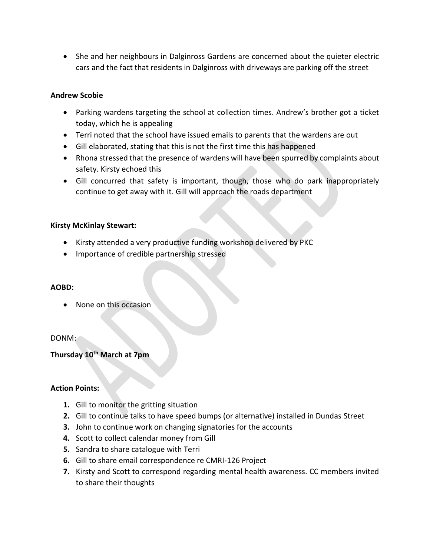• She and her neighbours in Dalginross Gardens are concerned about the quieter electric cars and the fact that residents in Dalginross with driveways are parking off the street

## **Andrew Scobie**

- Parking wardens targeting the school at collection times. Andrew's brother got a ticket today, which he is appealing
- Terri noted that the school have issued emails to parents that the wardens are out
- Gill elaborated, stating that this is not the first time this has happened
- Rhona stressed that the presence of wardens will have been spurred by complaints about safety. Kirsty echoed this
- Gill concurred that safety is important, though, those who do park inappropriately continue to get away with it. Gill will approach the roads department

## **Kirsty McKinlay Stewart:**

- Kirsty attended a very productive funding workshop delivered by PKC
- Importance of credible partnership stressed

#### **AOBD:**

• None on this occasion

#### DONM:

# **Thursday 10th March at 7pm**

#### **Action Points:**

- **1.** Gill to monitor the gritting situation
- **2.** Gill to continue talks to have speed bumps (or alternative) installed in Dundas Street
- **3.** John to continue work on changing signatories for the accounts
- **4.** Scott to collect calendar money from Gill
- **5.** Sandra to share catalogue with Terri
- **6.** Gill to share email correspondence re CMRI-126 Project
- **7.** Kirsty and Scott to correspond regarding mental health awareness. CC members invited to share their thoughts